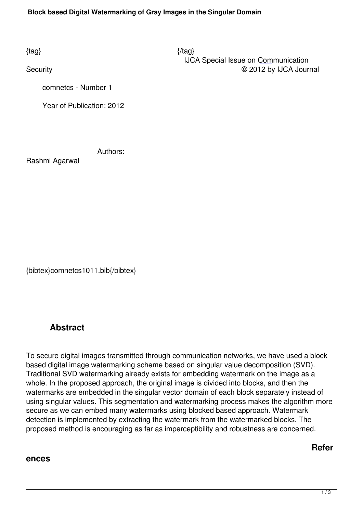$\{tag\}$  IJCA Special Issue on Communication Security © 2012 by IJCA Journal

comnetcs - Number 1

Year of Publication: 2012

Authors:

Rashmi Agarwal

{bibtex}comnetcs1011.bib{/bibtex}

## **Abstract**

To secure digital images transmitted through communication networks, we have used a block based digital image watermarking scheme based on singular value decomposition (SVD). Traditional SVD watermarking already exists for embedding watermark on the image as a whole. In the proposed approach, the original image is divided into blocks, and then the watermarks are embedded in the singular vector domain of each block separately instead of using singular values. This segmentation and watermarking process makes the algorithm more secure as we can embed many watermarks using blocked based approach. Watermark detection is implemented by extracting the watermark from the watermarked blocks. The proposed method is encouraging as far as imperceptibility and robustness are concerned.

**Refer**

## **ences**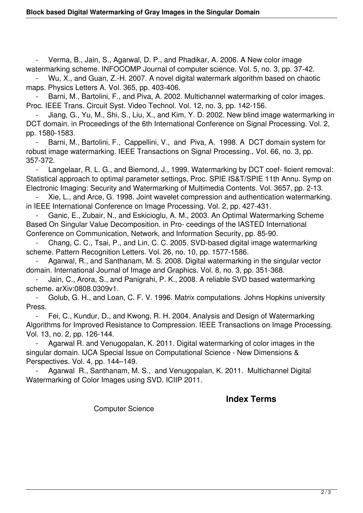Verma, B., Jain, S., Agarwal, D. P., and Phadikar, A. 2006. A New color image watermarking scheme. INFOCOMP Journal of computer science. Vol. 5, no. 3, pp. 37-42.

 - Wu, X., and Guan, Z.-H. 2007. A novel digital watermark algorithm based on chaotic maps. Physics Letters A. Vol. 365, pp. 403-406.

Barni, M., Bartolini, F., and Piva, A. 2002. Multichannel watermarking of color images. Proc. IEEE Trans. Circuit Syst. Video Technol. Vol. 12, no. 3, pp. 142-156.

 - Jiang, G., Yu, M., Shi, S., Liu, X., and Kim, Y. D. 2002. New blind image watermarking in DCT domain. in Proceedings of the 6th International Conference on Signal Processing. Vol. 2, pp. 1580-1583.

Barni, M., Bartolini, F., Cappellini, V., and Piva, A. 1998. A DCT domain system for robust image watermarking. IEEE Transactions on Signal Processing., Vol. 66, no. 3, pp. 357-372.

Langelaar, R. L. G., and Biemond, J., 1999. Watermarking by DCT coef-ficient removal: Statistical approach to optimal parameter settings, Proc. SPIE IS&T/SPIE 11th Annu. Symp on Electronic Imaging: Security and Watermarking of Multimedia Contents. Vol. 3657, pp. 2-13.

 - Xie, L., and Arce, G. 1998. Joint wavelet compression and authentication watermarking. in IEEE International Conference on Image Processing. Vol. 2, pp. 427-431.

Ganic, E., Zubair, N., and Eskicioglu, A. M., 2003. An Optimal Watermarking Scheme Based On Singular Value Decomposition. in Pro- ceedings of the IASTED International Conference on Communication, Network, and Information Security, pp. 85-90.

 - Chang, C. C., Tsai, P., and Lin, C. C. 2005. SVD-based digital image watermarking scheme. Pattern Recognition Letters. Vol. 26, no. 10, pp. 1577-1586.

Agarwal, R., and Santhanam, M. S. 2008. Digital watermarking in the singular vector domain. International Journal of Image and Graphics. Vol. 8, no. 3, pp. 351-368.

Jain, C., Arora, S., and Panigrahi, P. K., 2008. A reliable SVD based watermarking scheme. arXiv:0808.0309v1.

 - Golub, G. H., and Loan, C. F. V. 1996. Matrix computations. Johns Hopkins university Press.

 - Fei, C., Kundur, D., and Kwong, R. H. 2004. Analysis and Design of Watermarking Algorithms for Improved Resistance to Compression. IEEE Transactions on Image Processing. Vol. 13, no. 2, pp. 126-144.

 - Agarwal R. and Venugopalan, K. 2011. Digital watermarking of color images in the singular domain. IJCA Special Issue on Computational Science - New Dimensions & Perspectives. Vol. 4, pp. 144–149.

Agarwal R., Santhanam, M. S., and Venugopalan, K. 2011. Multichannel Digital Watermarking of Color Images using SVD. ICIIP 2011.

## **Index Terms**

Computer Science